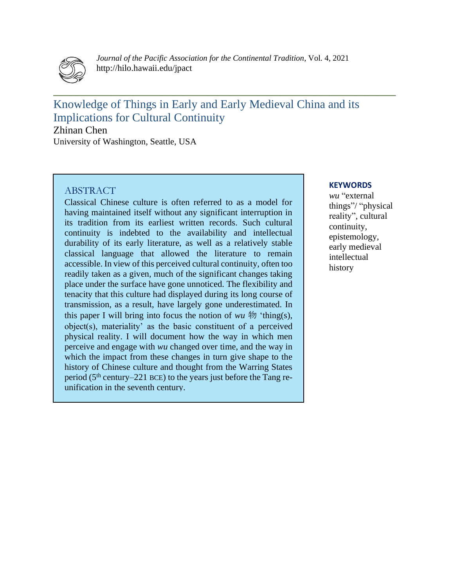

*Journal of the Pacific Association for the Continental Tradition*, Vol. 4, 2021 http://hilo.hawaii.edu/jpact

**\_\_\_\_\_\_\_\_\_\_\_\_\_\_\_\_\_\_\_\_\_\_\_\_\_\_\_\_\_\_\_\_\_\_\_\_\_\_\_\_\_\_\_\_\_\_\_\_\_\_\_\_\_\_\_\_\_\_\_\_\_\_\_\_\_\_\_\_\_\_\_\_\_\_\_\_\_**

# Knowledge of Things in Early and Early Medieval China and its Implications for Cultural Continuity

Zhinan Chen University of Washington, Seattle, USA

#### ABSTRACT

Classical Chinese culture is often referred to as a model for having maintained itself without any significant interruption in its tradition from its earliest written records. Such cultural continuity is indebted to the availability and intellectual durability of its early literature, as well as a relatively stable classical language that allowed the literature to remain accessible. In view of this perceived cultural continuity, often too readily taken as a given, much of the significant changes taking place under the surface have gone unnoticed. The flexibility and tenacity that this culture had displayed during its long course of transmission, as a result, have largely gone underestimated. In this paper I will bring into focus the notion of  $wu \nleftrightarrow$  'thing(s), object(s), materiality' as the basic constituent of a perceived physical reality. I will document how the way in which men perceive and engage with *wu* changed over time, and the way in which the impact from these changes in turn give shape to the history of Chinese culture and thought from the Warring States period (5<sup>th</sup> century–221 BCE) to the years just before the Tang reunification in the seventh century.

#### **KEYWORDS**

*wu* "external things"/ "physical reality", cultural continuity, epistemology, early medieval intellectual history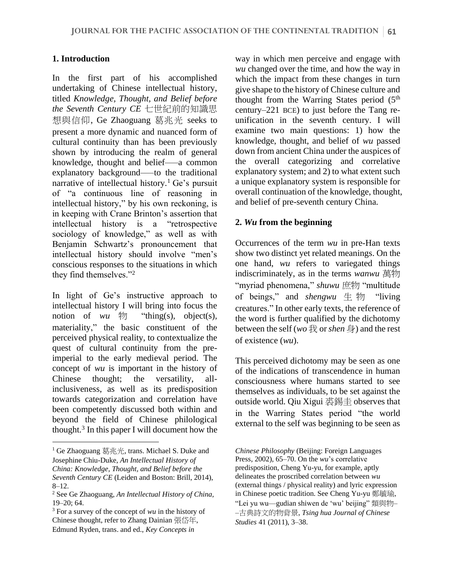#### **1. Introduction**

In the first part of his accomplished undertaking of Chinese intellectual history, titled *Knowledge, Thought, and Belief before the Seventh Century CE* 七世紀前的知識思 想與信仰, Ge Zhaoguang 葛兆光 seeks to present a more dynamic and nuanced form of cultural continuity than has been previously shown by introducing the realm of general knowledge, thought and belief—–a common explanatory background–––to the traditional narrative of intellectual history.<sup>1</sup> Ge's pursuit of "a continuous line of reasoning in intellectual history," by his own reckoning, is in keeping with Crane Brinton's assertion that intellectual history is a "retrospective sociology of knowledge," as well as with Benjamin Schwartz's pronouncement that intellectual history should involve "men's conscious responses to the situations in which they find themselves."<sup>2</sup>

In light of Ge's instructive approach to intellectual history I will bring into focus the notion of *wu*  $\mathcal{W}$  "thing(s), object(s), materiality," the basic constituent of the perceived physical reality, to contextualize the quest of cultural continuity from the preimperial to the early medieval period. The concept of *wu* is important in the history of Chinese thought; the versatility, allinclusiveness, as well as its predisposition towards categorization and correlation have been competently discussed both within and beyond the field of Chinese philological thought.<sup>3</sup> In this paper I will document how the

way in which men perceive and engage with *wu* changed over the time, and how the way in which the impact from these changes in turn give shape to the history of Chinese culture and thought from the Warring States period (5<sup>th</sup> century–221 BCE) to just before the Tang reunification in the seventh century. I will examine two main questions: 1) how the knowledge, thought, and belief of *wu* passed down from ancient China under the auspices of the overall categorizing and correlative explanatory system; and 2) to what extent such a unique explanatory system is responsible for overall continuation of the knowledge, thought, and belief of pre-seventh century China.

#### **2.** *Wu* **from the beginning**

Occurrences of the term *wu* in pre-Han texts show two distinct yet related meanings. On the one hand, *wu* refers to variegated things indiscriminately, as in the terms *wanwu* 萬物 "myriad phenomena," *shuwu* 庶物 "multitude of beings," and *shengwu* 生 物 "living creatures." In other early texts, the reference of the word is further qualified by the dichotomy between the self (*wo* 我 or *shen* 身) and the rest of existence (*wu*).

This perceived dichotomy may be seen as one of the indications of transcendence in human consciousness where humans started to see themselves as individuals, to be set against the outside world. Qiu Xigui 裘錫圭 observes that in the Warring States period "the world external to the self was beginning to be seen as

<sup>1</sup> Ge Zhaoguang 葛兆光, trans. Michael S. Duke and Josephine Chiu-Duke, *An Intellectual History of China: Knowledge, Thought, and Belief before the Seventh Century CE* (Leiden and Boston: Brill, 2014), 8–12.

<sup>2</sup> See Ge Zhaoguang, *An Intellectual History of China,* 19–20; 64.

<sup>3</sup> For a survey of the concept of *wu* in the history of Chinese thought, refer to Zhang Dainian 張岱年, Edmund Ryden, trans. and ed., *Key Concepts in* 

*Chinese Philosophy* (Beijing: Foreign Languages Press, 2002), 65–70. On the *wu*'s correlative predisposition, Cheng Yu-yu, for example, aptly delineates the proscribed correlation between *wu* (external things / physical reality) and lyric expression in Chinese poetic tradition. See Cheng Yu-yu 鄭毓瑜, "Lei yu wu––gudian shiwen de 'wu' beijing" 類與物– –古典詩文的物背景, *Tsing hua Journal of Chinese Studies* 41 (2011), 3–38.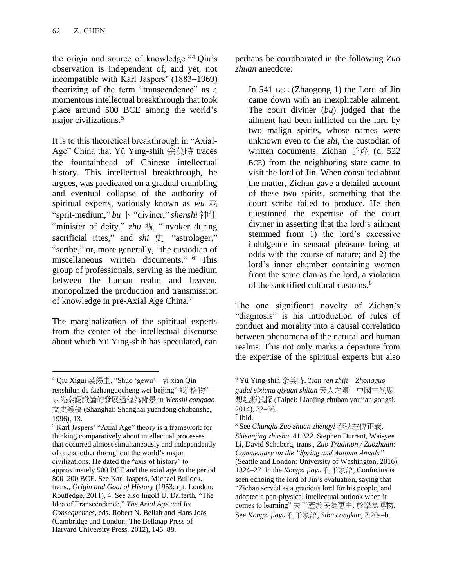the origin and source of knowledge."<sup>4</sup> Qiu's observation is independent of, and yet, not incompatible with Karl Jaspers' (1883–1969) theorizing of the term "transcendence" as a momentous intellectual breakthrough that took place around 500 BCE among the world's major civilizations.<sup>5</sup>

It is to this theoretical breakthrough in "Axial-Age" China that Yü Ying-shih 余英時 traces the fountainhead of Chinese intellectual history. This intellectual breakthrough, he argues, was predicated on a gradual crumbling and eventual collapse of the authority of spiritual experts, variously known as *wu* 巫 "sprit-medium," *bu* 卜 "diviner," *shenshi* 神仕 "minister of deity," zhu 祝 "invoker during sacrificial rites," and *shi* 史 "astrologer," "scribe," or, more generally, "the custodian of miscellaneous written documents." <sup>6</sup> This group of professionals, serving as the medium between the human realm and heaven, monopolized the production and transmission of knowledge in pre-Axial Age China.<sup>7</sup>

The marginalization of the spiritual experts from the center of the intellectual discourse about which Yü Ying-shih has speculated, can perhaps be corroborated in the following *Zuo zhuan* anecdote:

In 541 BCE (Zhaogong 1) the Lord of Jin came down with an inexplicable ailment. The court diviner (*bu*) judged that the ailment had been inflicted on the lord by two malign spirits, whose names were unknown even to the *shi*, the custodian of written documents. Zichan  $\vec{\mathcal{F}}$   $\vec{\mathcal{F}}$  (d. 522) BCE) from the neighboring state came to visit the lord of Jin. When consulted about the matter, Zichan gave a detailed account of these two spirits, something that the court scribe failed to produce. He then questioned the expertise of the court diviner in asserting that the lord's ailment stemmed from 1) the lord's excessive indulgence in sensual pleasure being at odds with the course of nature; and 2) the lord's inner chamber containing women from the same clan as the lord, a violation of the sanctified cultural customs.<sup>8</sup>

The one significant novelty of Zichan's "diagnosis" is his introduction of rules of conduct and morality into a causal correlation between phenomena of the natural and human realms. This not only marks a departure from the expertise of the spiritual experts but also

<sup>4</sup> Qiu Xigui 裘錫圭, "Shuo 'gewu'—yi xian Qin renshilun de fazhanguocheng wei beijing" 説"格物"— 以先秦認識論的發展過程為背景 in *Wenshi conggao* 文史叢稿 (Shanghai: Shanghai yuandong chubanshe, 1996), 13.

<sup>5</sup> Karl Jaspers' "Axial Age" theory is a framework for thinking comparatively about intellectual processes that occurred almost simultaneously and independently of one another throughout the world's major civilizations. He dated the "axis of history" to approximately 500 BCE and the axial age to the period 800–200 BCE. See Karl Jaspers, Michael Bullock, trans., *Origin and Goal of History* (1953; rpt. London: Routledge, 2011), 4. See also Ingolf U. Dalferth, "The Idea of Transcendence," *The Axial Age and Its Consequences*, eds. Robert N. Bellah and Hans Joas (Cambridge and London: The Belknap Press of Harvard University Press, 2012), 146–88.

<sup>6</sup> Yü Ying-shih 余英時, *Tian ren zhiji*—*Zhongguo gudai sixiang qiyuan shitan* 天人之際—中國古代思 想起源試探 (Taipei: Lianjing chuban youjian gongsi, 2014), 32–36.

<sup>7</sup> Ibid.

<sup>8</sup> See *Chunqiu Zuo zhuan zhengyi* 春秋左傳正義*, Shisanjing zhushu,* 41.322. Stephen Durrant, Wai-yee Li, David Schaberg, trans., *Zuo Tradition / Zuozhuan: Commentary on the "Spring and Autumn Annals"*  (Seattle and London: University of Washington, 2016), 1324–27. In the *Kongzi jiayu* 孔子家語, Confucius is seen echoing the lord of Jin's evaluation, saying that "Zichan served as a gracious lord for his people, and adopted a pan-physical intellectual outlook when it comes to learning" 夫子產於民為惠主, 於學為博物. See *Kongzi jiayu* 孔子家語, *Sibu congkan,* 3.20a–b.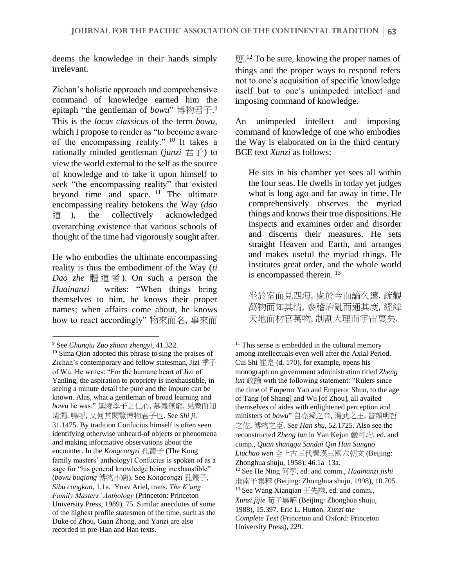deems the knowledge in their hands simply irrelevant.

Zichan's holistic approach and comprehensive command of knowledge earned him the epitaph "the gentleman of *bowu*" 博物君子. 9 This is the *locus classicus* of the term *bowu*, which I propose to render as "to become aware of the encompassing reality." <sup>10</sup> It takes a rationally minded gentleman (*junzi* 君子) to view the world external to the self as the source of knowledge and to take it upon himself to seek "the encompassing reality" that existed beyond time and space.  $11$  The ultimate encompassing reality betokens the Way (*dao*  道 ), the collectively acknowledged overarching existence that various schools of thought of the time had vigorously sought after.

He who embodies the ultimate encompassing reality is thus the embodiment of the Way (*ti Dao zhe* 體道者 ). On such a person the *Huainanzi* writes: "When things bring themselves to him, he knows their proper names; when affairs come about, he knows how to react accordingly" 物來而名, 事來而

應.<sup>12</sup> To be sure, knowing the proper names of things and the proper ways to respond refers not to one's acquisition of specific knowledge itself but to one's unimpeded intellect and imposing command of knowledge.

An unimpeded intellect and imposing command of knowledge of one who embodies the Way is elaborated on in the third century BCE text *Xunzi* as follows:

He sits in his chamber yet sees all within the four seas. He dwells in today yet judges what is long ago and far away in time. He comprehensively observes the myriad things and knows their true dispositions. He inspects and examines order and disorder and discerns their measures. He sets straight Heaven and Earth, and arranges and makes useful the myriad things. He institutes great order, and the whole world is encompassed therein. <sup>13</sup>

坐於室而見四海, 處於今而論久遠. 疏觀 萬物而知其情, 參稽治亂而通其度, 經緯 天地而材官萬物, 制割大理而宇宙裏矣.

<sup>9</sup> See *Chunqiu Zuo zhuan zhengyi,* 41.322.

<sup>10</sup> Sima Qian adopted this phrase to sing the praises of Zichan's contemporary and fellow statesman, Jizi 季子 of Wu. He writes: "For the humane heart of Jizi of Yanling, the aspiration to propriety is inexhaustible, in seeing a minute detail the pure and the impure can be known. Alas, what a gentleman of broad learning and *bowu* he was." 延陵季子之仁心, 慕義無窮, 見微而知 清濁. 嗚呼, 又何其閎覽博物君子也. See *Shi ji*, 31.1475. By tradition Confucius himself is often seen identifying otherwise unheard-of objects or phenomena and making informative observations about the encounter. In the *Kongcongzi* 孔叢子 (The Kong family masters' anthology) Confucius is spoken of as a sage for "his general knowledge being inexhaustible" (*bowu buqiong* 博物不窮). See *Kongcongzi* 孔叢子, *Sibu congkan*, 1.1a. Yoav Ariel, trans. *The K'ung Family Masters' Anthology* (Princeton: Princeton University Press, 1989), 75. Similar anecdotes of some of the highest profile statesmen of the time, such as the Duke of Zhou, Guan Zhong, and Yanzi are also recorded in pre-Han and Han texts.

<sup>&</sup>lt;sup>11</sup> This sense is embedded in the cultural memory among intellectuals even well after the Axial Period. Cui Shi 崔寔 (d. 170), for example, opens his monograph on government administration titled *Zheng lun* 政論 with the following statement: "Rulers since the time of Emperor Yao and Emperor Shun, to the age of Tang [of Shang] and Wu [of Zhou], all availed themselves of aides with enlightened perception and ministers of *bowu*" 自堯舜之帝, 湯武之王, 皆賴明哲 之佐, 博物之臣. See *Han shu*, 52.1725. Also see the reconstructed *Zheng lun* in Yan Kejun 嚴可均, ed. and comp., *Quan shanggu Sandai Qin Han Sanguo Liuchao wen* 全上古三代秦漢三國六朝文 (Beijing: Zhonghua shuju, 1958), 46.1a–13a. <sup>12</sup> See He Ning 何寧, ed. and comm., *Huainanzi jishi*  淮南子集釋 (Beijing: Zhonghua shuju, 1998), 10.705. <sup>13</sup> See Wang Xianqian 王先謙, ed. and comm., *Xunzi jijie* 荀子集解 (Beijing: Zhonghua shuju, 1988), 15.397. Eric L. Hutton, *Xunzi the Complete Text* (Princeton and Oxford: Princeton University Press), 229.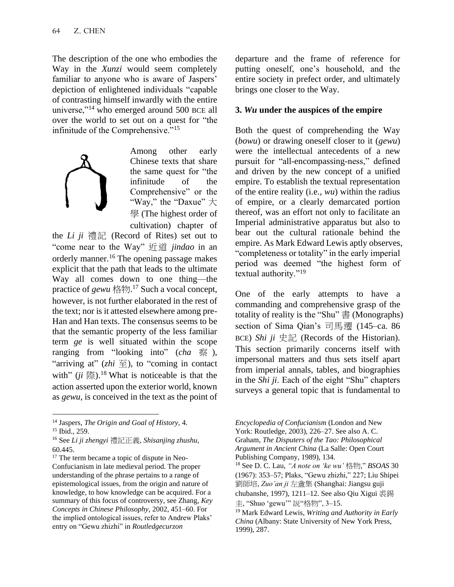The description of the one who embodies the Way in the *Xunzi* would seem completely familiar to anyone who is aware of Jaspers' depiction of enlightened individuals "capable of contrasting himself inwardly with the entire universe,"<sup>14</sup> who emerged around 500 BCE all over the world to set out on a quest for "the infinitude of the Comprehensive."<sup>15</sup>



Among other early Chinese texts that share the same quest for "the infinitude of the Comprehensive" or the "Way," the "Daxue"  $\pm$ 學 (The highest order of cultivation) chapter of

the *Li* ji 禮記 (Record of Rites) set out to "come near to the Way" 近道 *jindao* in an orderly manner.<sup>16</sup> The opening passage makes explicit that the path that leads to the ultimate Way all comes down to one thing—the practice of *gewu* 格物. <sup>17</sup> Such a vocal concept, however, is not further elaborated in the rest of the text; nor is it attested elsewhere among pre-Han and Han texts. The consensus seems to be that the semantic property of the less familiar term *ge* is well situated within the scope ranging from "looking into" (*cha* 察 ), "arriving at"  $(zhi \nsubseteq)$ , to "coming in contact" with" (*ji* 際).<sup>18</sup> What is noticeable is that the action asserted upon the exterior world, known as *gewu*, is conceived in the text as the point of

departure and the frame of reference for putting oneself, one's household, and the entire society in prefect order, and ultimately brings one closer to the Way.

#### **3.** *Wu* **under the auspices of the empire**

Both the quest of comprehending the Way (*bowu*) or drawing oneself closer to it (*gewu*) were the intellectual antecedents of a new pursuit for "all-encompassing-ness," defined and driven by the new concept of a unified empire. To establish the textual representation of the entire reality (i.e., *wu*) within the radius of empire, or a clearly demarcated portion thereof, was an effort not only to facilitate an Imperial administrative apparatus but also to bear out the cultural rationale behind the empire. As Mark Edward Lewis aptly observes, "completeness or totality" in the early imperial period was deemed "the highest form of textual authority."<sup>19</sup>

One of the early attempts to have a commanding and comprehensive grasp of the totality of reality is the "Shu" 書 (Monographs) section of Sima Qian's 司馬遷 (145–ca. 86 BCE) *Shi ji* 史記 (Records of the Historian). This section primarily concerns itself with impersonal matters and thus sets itself apart from imperial annals, tables, and biographies in the *Shi ji*. Each of the eight "Shu" chapters surveys a general topic that is fundamental to

<sup>14</sup> Jaspers, *The Origin and Goal of History,* 4. <sup>15</sup> Ibid., 259.

<sup>16</sup> See *Li ji zhengyi* 禮記正義, *Shisanjing zhushu,*  60.445.

<sup>&</sup>lt;sup>17</sup> The term became a topic of dispute in Neo-Confucianism in late medieval period. The proper understanding of the phrase pertains to a range of epistemological issues, from the origin and nature of knowledge, to how knowledge can be acquired. For a summary of this focus of controversy, see Zhang, *Key Concepts in Chinese Philosophy,* 2002, 451–60. For the implied ontological issues, refer to Andrew Plaks' entry on "Gewu zhizhi" in *Routledgecurzon* 

*Encyclopedia of Confucianism* (London and New York: Routledge, 2003), 226–27. See also A. C. Graham, *The Disputers of the Tao: Philosophical Argument in Ancient China* (La Salle: Open Court Publishing Company, 1989), 134.

<sup>18</sup> See D. C. Lau, *"A note on 'ke wu'* 格物," *BSOAS* 30 (1967): 353–57; Plaks, "Gewu zhizhi," 227; Liu Shipei 劉師培, *Zuo'an ji* 左盦集 (Shanghai: Jiangsu guji chubanshe, 1997), 1211–12. See also Qiu Xigui 裘錫 圭, "Shuo 'gewu'" 説"格物", 3–15.

<sup>19</sup> Mark Edward Lewis, *Writing and Authority in Early China* (Albany: State University of New York Press, 1999), 287.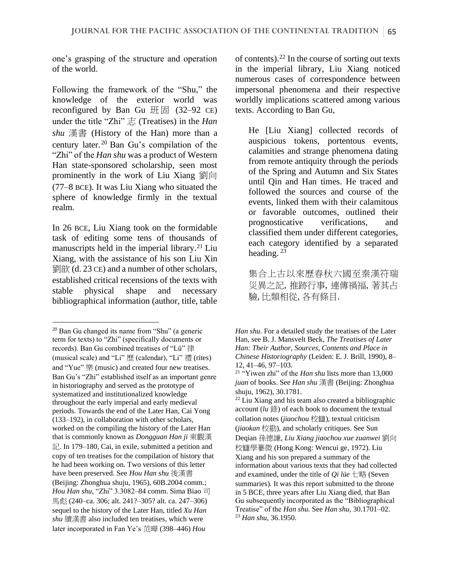one's grasping of the structure and operation of the world.

Following the framework of the "Shu," the knowledge of the exterior world was reconfigured by Ban Gu  $\frac{1}{2}$   $\frac{1}{2}$  (32–92 CE) under the title "Zhi" 志 (Treatises) in the *Han shu* 漢書 (History of the Han) more than a century later. <sup>20</sup> Ban Gu's compilation of the "Zhi" of the *Han shu* was a product of Western Han state-sponsored scholarship, seen most prominently in the work of Liu Xiang 劉向 (77–8 BCE). It was Liu Xiang who situated the sphere of knowledge firmly in the textual realm.

In 26 BCE, Liu Xiang took on the formidable task of editing some tens of thousands of manuscripts held in the imperial library.<sup>21</sup> Liu Xiang, with the assistance of his son Liu Xin 劉歆 (d. 23 CE) and a number of other scholars, established critical recensions of the texts with stable physical shape and necessary bibliographical information (author, title, table

of contents).<sup>22</sup> In the course of sorting out texts in the imperial library, Liu Xiang noticed numerous cases of correspondence between impersonal phenomena and their respective worldly implications scattered among various texts. According to Ban Gu,

He [Liu Xiang] collected records of auspicious tokens, portentous events, calamities and strange phenomena dating from remote antiquity through the periods of the Spring and Autumn and Six States until Qin and Han times. He traced and followed the sources and course of the events, linked them with their calamitous or favorable outcomes, outlined their prognosticative verifications, and classified them under different categories, each category identified by a separated heading. <sup>23</sup>

集合上古以來歷春秋六國至秦漢符瑞 災異之記, 推跡行事, 連傳禍福, 著其占 驗, 比類相從, 各有條目.

 $20$  Ban Gu changed its name from "Shu" (a generic term for texts) to "Zhi" (specifically documents or records). Ban Gu combined treatises of "Lü" 律 (musical scale) and "Li" 歷 (calendar), "Li" 禮 (rites) and "Yue" 樂 (music) and created four new treatises. Ban Gu's "Zhi" established itself as an important genre in historiography and served as the prototype of systematized and institutionalized knowledge throughout the early imperial and early medieval periods. Towards the end of the Later Han, Cai Yong (133–192), in collaboration with other scholars, worked on the compiling the history of the Later Han that is commonly known as *Dongguan Han ji* 東觀漢 記. In 179–180, Cai, in exile, submitted a petition and copy of ten treatises for the compilation of history that he had been working on. Two versions of this letter have been preserved. See *Hou Han shu* 後漢書 (Beijing: Zhonghua shuju, 1965), 60B.2004 comm.; *Hou Han shu*, "Zhi" 3.3082–84 comm. Sima Biao 司 馬彪 (240–ca. 306; alt. 241?–305? alt. ca. 247–306) sequel to the history of the Later Han, titled *Xu Han shu* 續漢書 also included ten treatises, which were later incorporated in Fan Ye's 范曄 (398–446) *Hou* 

*Han shu*. For a detailed study the treatises of the Later Han, see B. J. Mansvelt Beck, *The Treatises of Later Han: Their Author, Sources, Contents and Place in Chinese Historiography* (Leiden: E. J. Brill, 1990), 8– 12, 41–46, 97–103.

<sup>21</sup> "Yiwen zhi" of the *Han shu* lists more than 13,000 *juan* of books. See *Han shu* 漢書 (Beijing: Zhonghua shuju, 1962), 30.1781.

<sup>22</sup> Liu Xiang and his team also created a bibliographic account (*lu* 錄) of each book to document the textual collation notes (*jiaochou* 校讎), textual criticism (*jiaokan* 校勘), and scholarly critiques. See Sun Deqian 孫德謙, *Liu Xiang jiaochou xue zuanwei* 劉向 校讎學纂微 (Hong Kong: Wencui ge, 1972). Liu Xiang and his son prepared a summary of the information about various texts that they had collected and examined, under the title of *Qi lüe* 七略 (Seven summaries)*.* It was this report submitted to the throne in 5 BCE, three years after Liu Xiang died, that Ban Gu subsequently incorporated as the "Bibliographical Treatise" of the *Han shu.* See *Han shu*, 30.1701–02. <sup>23</sup> *Han shu*, 36.1950.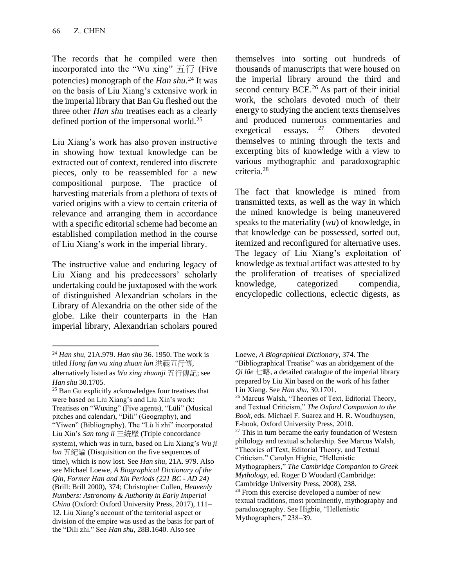The records that he compiled were then incorporated into the "Wu xing"  $\pm \hat{\tau}$  (Five potencies) monograph of the *Han shu*. <sup>24</sup> It was on the basis of Liu Xiang's extensive work in the imperial library that Ban Gu fleshed out the three other *Han shu* treatises each as a clearly defined portion of the impersonal world.<sup>25</sup>

Liu Xiang's work has also proven instructive in showing how textual knowledge can be extracted out of context, rendered into discrete pieces, only to be reassembled for a new compositional purpose. The practice of harvesting materials from a plethora of texts of varied origins with a view to certain criteria of relevance and arranging them in accordance with a specific editorial scheme had become an established compilation method in the course of Liu Xiang's work in the imperial library.

The instructive value and enduring legacy of Liu Xiang and his predecessors' scholarly undertaking could be juxtaposed with the work of distinguished Alexandrian scholars in the Library of Alexandria on the other side of the globe. Like their counterparts in the Han imperial library, Alexandrian scholars poured

themselves into sorting out hundreds of thousands of manuscripts that were housed on the imperial library around the third and second century BCE.<sup>26</sup> As part of their initial work, the scholars devoted much of their energy to studying the ancient texts themselves and produced numerous commentaries and exegetical essays. <sup>27</sup> Others devoted themselves to mining through the texts and excerpting bits of knowledge with a view to various mythographic and paradoxographic criteria.<sup>28</sup>

The fact that knowledge is mined from transmitted texts, as well as the way in which the mined knowledge is being maneuvered speaks to the materiality (*wu*) of knowledge, in that knowledge can be possessed, sorted out, itemized and reconfigured for alternative uses. The legacy of Liu Xiang's exploitation of knowledge as textual artifact was attested to by the proliferation of treatises of specialized knowledge, categorized compendia, encyclopedic collections, eclectic digests, as

<sup>24</sup> *Han shu*, 21A.979. *Han shu* 36. 1950. The work is titled *Hong fan wu xing zhuan lun* 洪範五行傳, alternatively listed as *Wu xing zhuanji* 五行傳記; see *Han shu* 30.1705.

<sup>&</sup>lt;sup>25</sup> Ban Gu explicitly acknowledges four treatises that were based on Liu Xiang's and Liu Xin's work: Treatises on "Wuxing" (Five agents), "Lüli" (Musical pitches and calendar), "Dili" (Geography), and "Yiwen" (Bibliography). The "Lü li zhi" incorporated Liu Xin's *San tong li* 三統歷 (Triple concordance system), which was in turn, based on Liu Xiang's *Wu ji lun* 五紀論 (Disquisition on the five sequences of time), which is now lost. See *Han shu*, 21A. 979. Also see Michael Loewe, *A Biographical Dictionary of the Qin, Former Han and Xin Periods (221 BC - AD 24)*  (Brill: Brill 2000), 374; Christopher Cullen, *Heavenly Numbers: Astronomy & Authority in Early Imperial China* (Oxford: Oxford University Press, 2017), 111– 12. Liu Xiang's account of the territorial aspect or division of the empire was used as the basis for part of the "Dili zhi." See *Han shu,* 28B.1640. Also see

Loewe, *A Biographical Dictionary,* 374. The "Bibliographical Treatise" was an abridgement of the *Qi lüe* 七略, a detailed catalogue of the imperial library prepared by Liu Xin based on the work of his father Liu Xiang. See *Han shu*, 30.1701. <sup>26</sup> Marcus Walsh, "Theories of Text, Editorial Theory, and Textual Criticism," *The Oxford Companion to the Book,* eds. Michael F. Suarez and H. R. Woudhuysen, E-book, Oxford University Press, 2010.  $27$  This in turn became the early foundation of Western philology and textual scholarship. See Marcus Walsh, "Theories of Text, Editorial Theory, and Textual Criticism." Carolyn Higbie, "Hellenistic Mythographers," *The Cambridge Companion to Greek Mythology*, ed. Roger D Woodard (Cambridge: Cambridge University Press, 2008), 238. <sup>28</sup> From this exercise developed a number of new textual traditions, most prominently, mythography and paradoxography. See Higbie, "Hellenistic Mythographers," 238–39.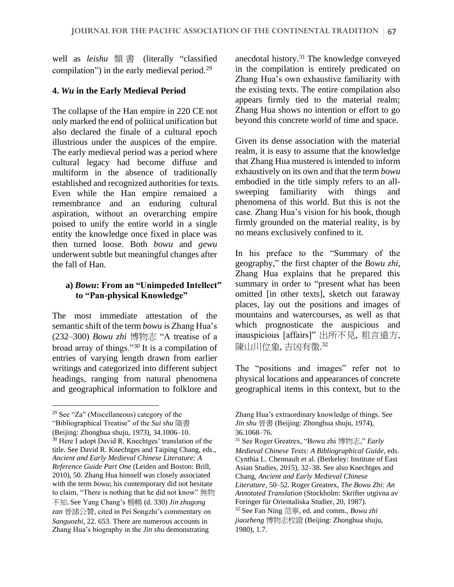well as *leishu* 類 書 (literally "classified compilation") in the early medieval period.<sup>29</sup>

#### **4.** *Wu* **in the Early Medieval Period**

The collapse of the Han empire in 220 CE not only marked the end of political unification but also declared the finale of a cultural epoch illustrious under the auspices of the empire. The early medieval period was a period where cultural legacy had become diffuse and multiform in the absence of traditionally established and recognized authorities for texts. Even while the Han empire remained a remembrance and an enduring cultural aspiration, without an overarching empire poised to unify the entire world in a single entity the knowledge once fixed in place was then turned loose. Both *bowu* and *gewu* underwent subtle but meaningful changes after the fall of Han.

#### **a)** *Bowu***: From an "Unimpeded Intellect" to "Pan-physical Knowledge"**

The most immediate attestation of the semantic shift of the term *bowu* is Zhang Hua's (232–300) *Bowu zhi* 博物志 "A treatise of a broad array of things."<sup>30</sup> It is a compilation of entries of varying length drawn from earlier writings and categorized into different subject headings, ranging from natural phenomena and geographical information to folklore and

anecdotal history.<sup>31</sup> The knowledge conveyed in the compilation is entirely predicated on Zhang Hua's own exhaustive familiarity with the existing texts. The entire compilation also appears firmly tied to the material realm; Zhang Hua shows no intention or effort to go beyond this concrete world of time and space.

Given its dense association with the material realm, it is easy to assume that the knowledge that Zhang Hua mustered is intended to inform exhaustively on its own and that the term *bowu*  embodied in the title simply refers to an allsweeping familiarity with things and phenomena of this world. But this is not the case. Zhang Hua's vision for his book, though firmly grounded on the material reality, is by no means exclusively confined to it.

In his preface to the "Summary of the geography," the first chapter of the *Bowu zhi*, Zhang Hua explains that he prepared this summary in order to "present what has been omitted [in other texts], sketch out faraway places, lay out the positions and images of mountains and watercourses, as well as that which prognosticate the auspicious and inauspicious [affairs]" 出所不見, 粗言遠方, 陳山川位象, 吉凶有徵. 32

The "positions and images" refer not to physical locations and appearances of concrete geographical items in this context, but to the

<sup>&</sup>lt;sup>29</sup> See "Za" (Miscellaneous) category of the "Bibliographical Treatise" of the *Sui shu* 隋書 (Beijing: Zhonghua shuju, 1973), 34.1006–10. <sup>30</sup> Here I adopt David R. Knechtges' translation of the title. See David R. Knechtges and Taiping Chang, eds., *Ancient and Early Medieval Chinese Literature: A Reference Guide Part One* (Leiden and Boston: Brill, 2010), 50. Zhang Hua himself was closely associated with the term *bowu*; his contemporary did not hesitate to claim, "There is nothing that he did not know" 無物 不知.See Yang Chang's 楊暢 (d. 330) *Jin zhugong zan* 晉諸公贊, cited in Pei Songzhi's commentary on *Sanguozhi,* 22. 653. There are numerous accounts in Zhang Hua's biography in the *Jin shu* demonstrating

Zhang Hua's extraordinary knowledge of things. See *Jin shu* 晉書 (Beijing: Zhonghua shuju, 1974), 36.1068–76.

<sup>31</sup> See Roger Greatrex, "Bowu zhi 博物志," *Early Medieval Chinese Texts: A Bibliographical Guide*, eds. Cynthia L. Chennault et al. (Berkeley: Institute of East Asian Studies, 2015), 32–38. See also Knechtges and Chang, *Ancient and Early Medieval Chinese Literature*, 50–52. Roger Greatrex, *The Bowu Zhi: An Annotated Translation* (Stockholm: Skrifter utgivna av Foringer für Orientaliska Studier, 20, 1987).

<sup>32</sup> See Fan Ning 范寧, ed. and comm., *Bowu zhi jiaozheng* 博物志校證 (Beijing: Zhonghua shuju, 1980), 1.7.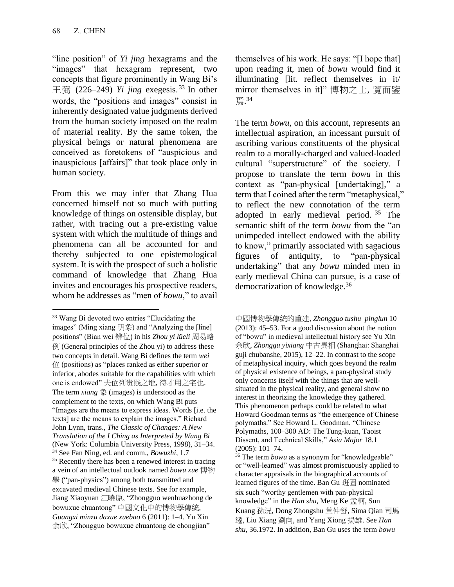"line position" of *Yi jing* hexagrams and the "images" that hexagram represent, two concepts that figure prominently in Wang Bi's  $\pm \overline{\text{m}}$  (226–249) *Yi jing* exegesis.<sup>33</sup> In other words, the "positions and images" consist in inherently designated value judgments derived from the human society imposed on the realm of material reality. By the same token, the physical beings or natural phenomena are conceived as foretokens of "auspicious and inauspicious [affairs]" that took place only in human society.

From this we may infer that Zhang Hua concerned himself not so much with putting knowledge of things on ostensible display, but rather, with tracing out a pre-existing value system with which the multitude of things and phenomena can all be accounted for and thereby subjected to one epistemological system. It is with the prospect of such a holistic command of knowledge that Zhang Hua invites and encourages his prospective readers, whom he addresses as "men of *bowu*," to avail

themselves of his work. He says: "[I hope that] upon reading it, men of *bowu* would find it illuminating [lit. reflect themselves in it/ mirror themselves in it]" 博物之士, 覽而鑒 焉. 34

The term *bowu*, on this account, represents an intellectual aspiration, an incessant pursuit of ascribing various constituents of the physical realm to a morally-charged and valued-loaded cultural "superstructure" of the society. I propose to translate the term *bowu* in this context as "pan-physical [undertaking]," a term that I coined after the term "metaphysical," to reflect the new connotation of the term adopted in early medieval period. <sup>35</sup> The semantic shift of the term *bowu* from the "an unimpeded intellect endowed with the ability to know," primarily associated with sagacious figures of antiquity, to "pan-physical undertaking" that any *bowu* minded men in early medieval China can pursue, is a case of democratization of knowledge.<sup>36</sup>

<sup>33</sup> Wang Bi devoted two entries "Elucidating the images" (Ming xiang 明象) and "Analyzing the [line] positions" (Bian wei 辨位) in his *Zhou yi lüeli* 周易略 例 (General principles of the Zhou yi) to address these two concepts in detail. Wang Bi defines the term *wei*  位 (positions) as "places ranked as either superior or inferior, abodes suitable for the capabilities with which one is endowed" 夫位列贵贱之地, 待才用之宅也. The term *xiang* 象 (images) is understood as the complement to the texts, on which Wang Bi puts "Images are the means to express ideas. Words [i.e. the texts] are the means to explain the images." Richard John Lynn, trans., *The Classic of Changes: A New Translation of the I Ching as Interpreted by Wang Bi* (New York: Columbia University Press, 1998), 31–34. <sup>34</sup> See Fan Ning, ed. and comm., *Bowuzhi*, 1.7 <sup>35</sup> Recently there has been a renewed interest in tracing a vein of an intellectual outlook named *bowu xue* 博物 學 ("pan-physics") among both transmitted and excavated medieval Chinese texts. See for example, Jiang Xiaoyuan 江曉原, "Zhongguo wenhuazhong de bowuxue chuantong" 中國文化中的博物學傳統, *Guangxi minzu daxue xuebao* 6 (2011): 1–4. Yu Xin 余欣, "Zhongguo bowuxue chuantong de chongjian"

中國博物學傳統的重建, *Zhongguo tushu pinglun* 10 (2013): 45–53. For a good discussion about the notion of "bowu" in medieval intellectual history see Yu Xin 余欣, *Zhonggu yixiang* 中古異相 (Shanghai: Shanghai guji chubanshe, 2015), 12–22. In contrast to the scope of metaphysical inquiry, which goes beyond the realm of physical existence of beings, a pan-physical study only concerns itself with the things that are wellsituated in the physical reality, and general show no interest in theorizing the knowledge they gathered. This phenomenon perhaps could be related to what Howard Goodman terms as "the emergence of Chinese polymaths." See Howard L. Goodman, "Chinese Polymaths, 100–300 AD: The Tung-kuan, Taoist Dissent, and Technical Skills," *Asia Major* 18.1 (2005): 101–74.

<sup>36</sup> The term *bowu* as a synonym for "knowledgeable" or "well-learned" was almost promiscuously applied to character appraisals in the biographical accounts of learned figures of the time. Ban Gu 班固 nominated six such "worthy gentlemen with pan-physical knowledge" in the *Han shu,* Meng Ke 孟軻, Sun Kuang 孫況, Dong Zhongshu 董仲舒, Sima Qian 司馬 遷, Liu Xiang 劉向, and Yang Xiong 揚雄. See *Han shu*, 36.1972. In addition, Ban Gu uses the term *bowu*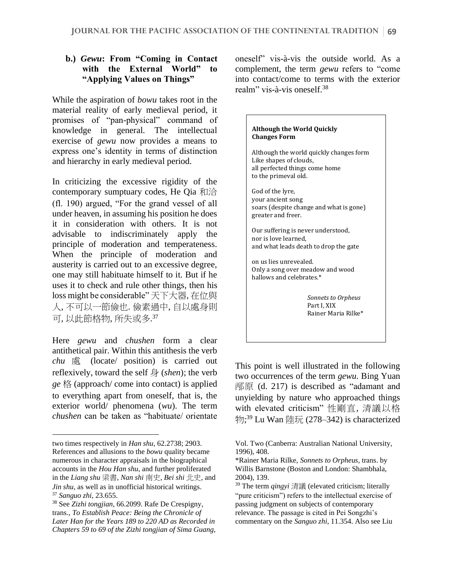## **b.)** *Gewu***: From "Coming in Contact with the External World" to "Applying Values on Things"**

While the aspiration of *bowu* takes root in the material reality of early medieval period, it promises of "pan-physical" command of knowledge in general. The intellectual exercise of *gewu* now provides a means to express one's identity in terms of distinction and hierarchy in early medieval period.

In criticizing the excessive rigidity of the contemporary sumptuary codes, He Qia 和洽 (fl. 190) argued, "For the grand vessel of all under heaven, in assuming his position he does it in consideration with others. It is not advisable to indiscriminately apply the principle of moderation and temperateness. When the principle of moderation and austerity is carried out to an excessive degree, one may still habituate himself to it. But if he uses it to check and rule other things, then his loss might be considerable" 天下大器, 在位與 人, 不可以一節儉也. 儉素過中, 自以處身則 可, 以此節格物, 所失或多. 37

Here *gewu* and *chushen* form a clear antithetical pair. Within this antithesis the verb *chu* 處 (locate/ position) is carried out reflexively, toward the self 身 (*shen*); the verb *ge* 格 (approach/ come into contact) is applied to everything apart from oneself, that is, the exterior world/ phenomena (*wu*). The term *chushen* can be taken as "habituate/ orientate

oneself" vis-à-vis the outside world. As a complement, the term *gewu* refers to "come into contact/come to terms with the exterior realm" vis-à-vis oneself.<sup>38</sup>

# **Although the World Quickly Changes Form**  Although the world quickly changes form Like shapes of clouds, all perfected things come home to the primeval old. God of the lyre, your ancient song soars (despite change and what is gone) greater and freer. Our suffering is never understood, nor is love learned, and what leads death to drop the gate on us lies unrevealed. Only a song over meadow and wood hallows and celebrates.\* *Sonnets to Orpheus*  Part I, XIX Rainer Maria Rilke\*

This point is well illustrated in the following two occurrences of the term *gewu.* Bing Yuan 邴原 (d. 217) is described as "adamant and unyielding by nature who approached things with elevated criticism" 性剛直, 清議以格 物; <sup>39</sup> Lu Wan 陸玩 (278–342) is characterized

two times respectively in *Han shu*, 62.2738; 2903. References and allusions to the *bowu* quality became numerous in character appraisals in the biographical accounts in the *Hou Han shu*, and further proliferated in the *Liang shu* 梁書, *Nan shi* 南史, *Bei shi* 北史, and *Jin shu,* as well as in unofficial historical writings. <sup>37</sup> *Sanguo zhi*, 23.655.

<sup>38</sup> See *Zizhi tongjian*, 66.2099. Rafe De Crespigny, trans., *To Establish Peace: Being the Chronicle of Later Han for the Years 189 to 220 AD as Recorded in Chapters 59 to 69 of the Zizhi tongjian of Sima Guang,* 

Vol. Two (Canberra: Australian National University, 1996), 408.

<sup>\*</sup>Rainer Maria Rilke, *Sonnets to Orpheus*, trans. by Willis Barnstone (Boston and London: Shambhala, 2004), 139.

<sup>39</sup> The term *qingyi* 清議 (elevated criticism; literally "pure criticism") refers to the intellectual exercise of passing judgment on subjects of contemporary relevance. The passage is cited in Pei Songzhi's commentary on the *Sanguo zhi*, 11.354. Also see Liu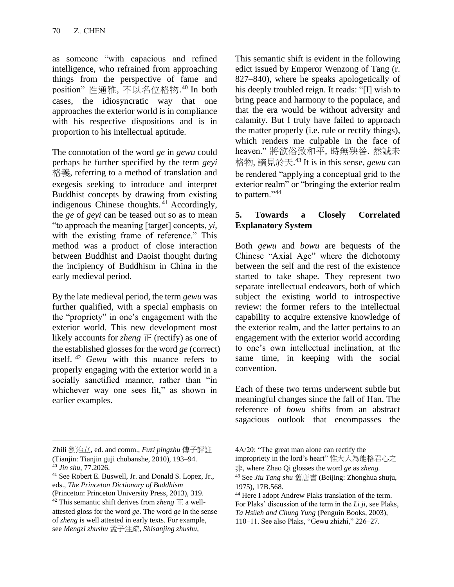as someone "with capacious and refined intelligence, who refrained from approaching things from the perspective of fame and position" 性通雅, 不以名位格物. <sup>40</sup> In both cases, the idiosyncratic way that one approaches the exterior world is in compliance with his respective dispositions and is in proportion to his intellectual aptitude.

The connotation of the word *ge* in *gewu* could perhaps be further specified by the term *geyi*  格義, referring to a method of translation and exegesis seeking to introduce and interpret Buddhist concepts by drawing from existing indigenous Chinese thoughts.<sup>41</sup> Accordingly, the *ge* of *geyi* can be teased out so as to mean "to approach the meaning [target] concepts, *yi*, with the existing frame of reference." This method was a product of close interaction between Buddhist and Daoist thought during the incipiency of Buddhism in China in the early medieval period.

By the late medieval period, the term *gewu* was further qualified, with a special emphasis on the "propriety" in one's engagement with the exterior world. This new development most likely accounts for *zheng* 正 (rectify) as one of the established glosses for the word *ge* (correct) itself. <sup>42</sup> *Gewu* with this nuance refers to properly engaging with the exterior world in a socially sanctified manner, rather than "in whichever way one sees fit," as shown in earlier examples.

This semantic shift is evident in the following edict issued by Emperor Wenzong of Tang (r. 827–840), where he speaks apologetically of his deeply troubled reign. It reads: "[I] wish to bring peace and harmony to the populace, and that the era would be without adversity and calamity. But I truly have failed to approach the matter properly (i.e. rule or rectify things), which renders me culpable in the face of heaven." 將欲俗致和平, 時無殃咎. 然誠未 格物, 謫見於天. <sup>43</sup> It is in this sense, *gewu* can be rendered "applying a conceptual grid to the exterior realm" or "bringing the exterior realm to pattern."<sup>44</sup>

# **5. Towards a Closely Correlated Explanatory System**

Both *gewu* and *bowu* are bequests of the Chinese "Axial Age" where the dichotomy between the self and the rest of the existence started to take shape. They represent two separate intellectual endeavors, both of which subject the existing world to introspective review: the former refers to the intellectual capability to acquire extensive knowledge of the exterior realm, and the latter pertains to an engagement with the exterior world according to one's own intellectual inclination, at the same time, in keeping with the social convention.

Each of these two terms underwent subtle but meaningful changes since the fall of Han. The reference of *bowu* shifts from an abstract sagacious outlook that encompasses the

Zhili 劉治立, ed. and comm., *Fuzi pingzhu* 傅子評註 (Tianjin: Tianjin guji chubanshe, 2010), 193–94. <sup>40</sup> *Jin shu*, 77.2026.

<sup>41</sup> See Robert E. Buswell, Jr. and Donald S. Lopez, Jr., eds., *The Princeton Dictionary of Buddhism*  (Princeton: Princeton University Press, 2013), 319.

<sup>&</sup>lt;sup>42</sup> This semantic shift derives from *zheng*  $E$  a wellattested gloss for the word *ge*. The word *ge* in the sense of *zheng* is well attested in early texts. For example, see *Mengzi zhushu* 孟子注疏, *Shisanjing zhushu,* 

<sup>4</sup>A/20: "The great man alone can rectify the

impropriety in the lord's heart" 惟大人為能格君心之

非, where Zhao Qi glosses the word *ge* as *zheng.* 

<sup>43</sup> See *Jiu Tang shu* 舊唐書 (Beijing: Zhonghua shuju, 1975), 17B.568.

<sup>44</sup> Here I adopt Andrew Plaks translation of the term. For Plaks' discussion of the term in the *Li ji*, see Plaks, *Ta Hsüeh and Chung Yung* (Penguin Books, 2003), 110–11. See also Plaks, "Gewu zhizhi," 226–27.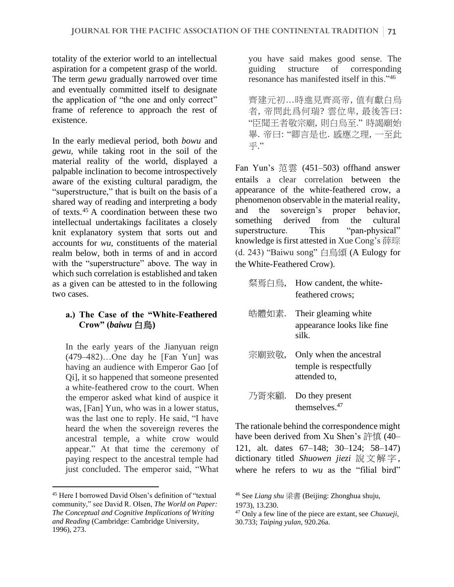totality of the exterior world to an intellectual aspiration for a competent grasp of the world. The term *gewu* gradually narrowed over time and eventually committed itself to designate the application of "the one and only correct" frame of reference to approach the rest of existence.

In the early medieval period, both *bowu* and *gewu,* while taking root in the soil of the material reality of the world, displayed a palpable inclination to become introspectively aware of the existing cultural paradigm, the "superstructure," that is built on the basis of a shared way of reading and interpreting a body of texts. $45$  A coordination between these two intellectual undertakings facilitates a closely knit explanatory system that sorts out and accounts for *wu*, constituents of the material realm below, both in terms of and in accord with the "superstructure" above. The way in which such correlation is established and taken as a given can be attested to in the following two cases.

# **a.) The Case of the "White-Feathered Crow" (***baiwu* 白烏**)**

In the early years of the Jianyuan reign (479–482)…One day he [Fan Yun] was having an audience with Emperor Gao [of Qi], it so happened that someone presented a white-feathered crow to the court. When the emperor asked what kind of auspice it was, [Fan] Yun, who was in a lower status, was the last one to reply. He said, "I have heard the when the sovereign reveres the ancestral temple, a white crow would appear." At that time the ceremony of paying respect to the ancestral temple had just concluded. The emperor said, "What you have said makes good sense. The guiding structure of corresponding resonance has manifested itself in this."<sup>46</sup>

齊建元初…時進見齊高帝, 值有獻白烏 者, 帝問此爲何瑞? 雲位卑, 最後答曰: "臣聞王者敬宗廟, 則白烏至." 時謁廟始 畢. 帝曰: "卿言是也. 感應之理, 一至此 乎."

Fan Yun's 范雲 (451–503) offhand answer entails a clear correlation between the appearance of the white-feathered crow, a phenomenon observable in the material reality, and the sovereign's proper behavior, something derived from the cultural superstructure. This "pan-physical" knowledge is first attested in Xue Cong's 薛琮 (d. 243) "Baiwu song" 白烏頌 (A Eulogy for the White-Feathered Crow).

- 粲焉白烏, How candent, the whitefeathered crows;
- 皓體如素. Their gleaming white appearance looks like fine silk.
- 宗廟致敬, Only when the ancestral temple is respectfully attended to,
- 乃胥來顧. Do they present themselves.<sup>47</sup>

The rationale behind the correspondence might have been derived from Xu Shen's 許慎 (40– 121, alt. dates 67–148; 30–124; 58–147) dictionary titled *Shuowen jiezi* 說文解字 , where he refers to *wu* as the "filial bird"

<sup>45</sup> Here I borrowed David Olsen's definition of "textual community," see David R. Olsen, *The World on Paper: The Conceptual and Cognitive Implications of Writing and Reading* (Cambridge: Cambridge University, 1996), 273.

<sup>46</sup> See *Liang shu* 梁書 (Beijing: Zhonghua shuju, 1973), 13.230.

<sup>47</sup> Only a few line of the piece are extant, see *Chuxueji*, 30.733; *Taiping yulan*, 920.26a.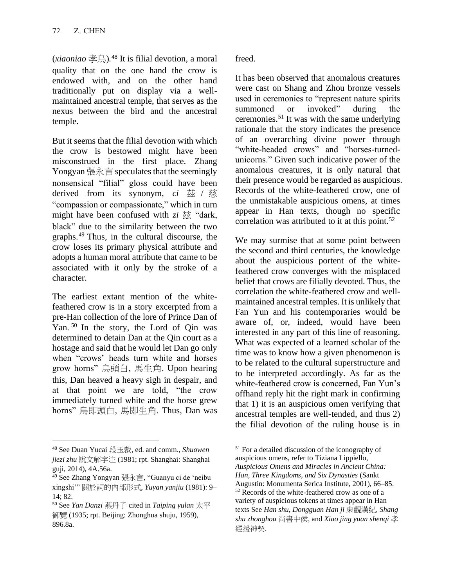(*xiaoniao* 孝鳥)*.* <sup>48</sup> It is filial devotion, a moral quality that on the one hand the crow is endowed with, and on the other hand traditionally put on display via a wellmaintained ancestral temple, that serves as the nexus between the bird and the ancestral temple.

But it seems that the filial devotion with which the crow is bestowed might have been misconstrued in the first place. Zhang Yongyan 張永言 speculates that the seemingly nonsensical "filial" gloss could have been derived from its synonym, *ci* 茲 / 慈 "compassion or compassionate," which in turn might have been confused with  $zi \, \xi \xi$  "dark, black" due to the similarity between the two graphs.<sup>49</sup> Thus, in the cultural discourse, the crow loses its primary physical attribute and adopts a human moral attribute that came to be associated with it only by the stroke of a character.

The earliest extant mention of the whitefeathered crow is in a story excerpted from a pre-Han collection of the lore of Prince Dan of Yan. <sup>50</sup> In the story, the Lord of Qin was determined to detain Dan at the Qin court as a hostage and said that he would let Dan go only when "crows' heads turn white and horses grow horns" 烏頭白, 馬生角. Upon hearing this, Dan heaved a heavy sigh in despair, and at that point we are told, "the crow immediately turned white and the horse grew horns" 烏即頭白, 馬即生角. Thus, Dan was freed.

It has been observed that anomalous creatures were cast on Shang and Zhou bronze vessels used in ceremonies to "represent nature spirits summoned or invoked" during the ceremonies.<sup>51</sup> It was with the same underlying rationale that the story indicates the presence of an overarching divine power through "white-headed crows" and "horses-turnedunicorns." Given such indicative power of the anomalous creatures, it is only natural that their presence would be regarded as auspicious. Records of the white-feathered crow, one of the unmistakable auspicious omens, at times appear in Han texts, though no specific correlation was attributed to it at this point.<sup>52</sup>

We may surmise that at some point between the second and third centuries, the knowledge about the auspicious portent of the whitefeathered crow converges with the misplaced belief that crows are filially devoted. Thus, the correlation the white-feathered crow and wellmaintained ancestral temples. It is unlikely that Fan Yun and his contemporaries would be aware of, or, indeed, would have been interested in any part of this line of reasoning. What was expected of a learned scholar of the time was to know how a given phenomenon is to be related to the cultural superstructure and to be interpreted accordingly. As far as the white-feathered crow is concerned, Fan Yun's offhand reply hit the right mark in confirming that 1) it is an auspicious omen verifying that ancestral temples are well-tended, and thus 2) the filial devotion of the ruling house is in

<sup>48</sup> See Duan Yucai 段玉裁, ed. and comm., *Shuowen jiezi zhu* 說文解字注 (1981; rpt. Shanghai: Shanghai guji, 2014), 4A.56a.

<sup>49</sup> See Zhang Yongyan 張永言, "Guanyu ci de 'neibu xingshi'" 關於詞的內部形式, *Yuyan yanjiu* (1981): 9– 14; 82.

<sup>50</sup> See *Yan Danzi* 燕丹子 cited in *Taiping yulan* 太平 御覽 (1935; rpt. Beijing: Zhonghua shuju, 1959), 896.8a.

<sup>51</sup> For a detailed discussion of the iconography of auspicious omens, refer to Tiziana Lippiello, *Auspicious Omens and Miracles in Ancient China: Han, Three Kingdoms, and Six Dynasties* (Sankt Augustin: Monumenta Serica Institute, 2001), 66–85. <sup>52</sup> Records of the white-feathered crow as one of a variety of auspicious tokens at times appear in Han texts See *Han shu*, *Dongguan Han ji* 東觀漢紀, *Shang shu zhonghou* 尚書中侯, and *Xiao jing yuan shenqi* 孝 經援神契.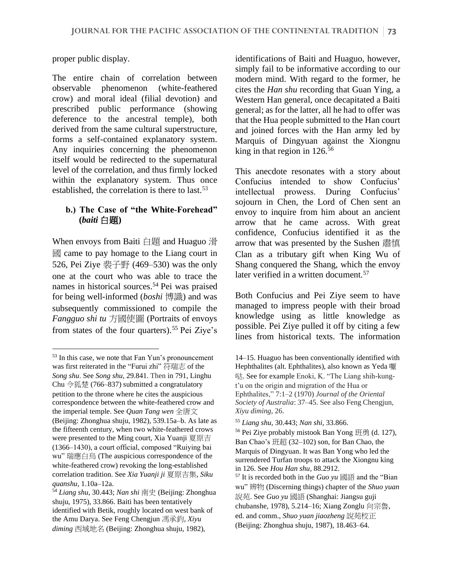proper public display.

The entire chain of correlation between observable phenomenon (white-feathered crow) and moral ideal (filial devotion) and prescribed public performance (showing deference to the ancestral temple), both derived from the same cultural superstructure, forms a self-contained explanatory system. Any inquiries concerning the phenomenon itself would be redirected to the supernatural level of the correlation, and thus firmly locked within the explanatory system. Thus once established, the correlation is there to last.<sup>53</sup>

## **b.) The Case of "the White-Forehead" (***baiti* 白題**)**

When envoys from Baiti 白題 and Huaguo 滑 國 came to pay homage to the Liang court in 526, Pei Ziye 裴子野 (469–530) was the only one at the court who was able to trace the names in historical sources.<sup>54</sup> Pei was praised for being well-informed (*boshi* 博識) and was subsequently commissioned to compile the *Fangguo shi tu* 方國使圖 (Portraits of envoys from states of the four quarters).<sup>55</sup> Pei Ziye's identifications of Baiti and Huaguo, however, simply fail to be informative according to our modern mind. With regard to the former, he cites the *Han shu* recording that Guan Ying, a Western Han general, once decapitated a Baiti general; as for the latter, all he had to offer was that the Hua people submitted to the Han court and joined forces with the Han army led by Marquis of Dingyuan against the Xiongnu king in that region in  $126^{56}$ 

This anecdote resonates with a story about Confucius intended to show Confucius' intellectual prowess. During Confucius' sojourn in Chen, the Lord of Chen sent an envoy to inquire from him about an ancient arrow that he came across. With great confidence, Confucius identified it as the arrow that was presented by the Sushen 肅慎 Clan as a tributary gift when King Wu of Shang conquered the Shang, which the envoy later verified in a written document.<sup>57</sup>

Both Confucius and Pei Ziye seem to have managed to impress people with their broad knowledge using as little knowledge as possible. Pei Ziye pulled it off by citing a few lines from historical texts. The information

<sup>53</sup> In this case, we note that Fan Yun's pronouncement was first reiterated in the "Furui zhi" 符瑞志 of the *Song shu*. See *Song shu*, 29.841. Then in 791, Linghu Chu 令狐楚 (766–837) submitted a congratulatory petition to the throne where he cites the auspicious correspondence between the white-feathered crow and the imperial temple. See *Quan Tang wen* 全唐文 (Beijing: Zhonghua shuju, 1982), 539.15a–b. As late as the fifteenth century, when two white-feathered crows were presented to the Ming court, Xia Yuanji 夏原吉 (1366–1430), a court official, composed "Ruiying bai wu" 瑞應白烏 (The auspicious correspondence of the white-feathered crow) revoking the long-established correlation tradition. See *Xia Yuanji ji* 夏原吉集, *Siku quanshu*, 1.10a–12a.

<sup>54</sup> *Liang shu*, 30.443; *Nan shi* 南史 (Beijing: Zhonghua shuju, 1975), 33.866. Baiti has been tentatively identified with Betik, roughly located on west bank of the Amu Darya. See Feng Chengjun 馮承鈞, *Xiyu diming* 西域地名 (Beijing: Zhonghua shuju, 1982),

<sup>14–15.</sup> Huaguo has been conventionally identified with Hephthalites (alt. Ephthalites), also known as Yeda 嘛 哒. See for example Enoki, K. "The Liang shih-kungt'u on the origin and migration of the Hua or Ephthalites," 7:1–2 (1970) *Journal of the Oriental Society of Australia*: 37–45. See also Feng Chengjun, *Xiyu diming*, 26.

<sup>55</sup> *Liang shu*, 30.443; *Nan shi*, 33.866.

<sup>56</sup> Pei Ziye probably mistook Ban Yong 班勇 (d. 127), Ban Chao's 班超 (32–102) son, for Ban Chao, the Marquis of Dingyuan. It was Ban Yong who led the surrendered Turfan troops to attack the Xiongnu king in 126. See *Hou Han shu,* 88.2912.

<sup>57</sup> It is recorded both in the *Guo yu* 國語 and the "Bian wu" 辨物 (Discerning things) chapter of the *Shuo yuan*  說苑. See *Guo yu* 國語 (Shanghai: Jiangsu guji chubanshe, 1978)*,* 5.214–16; Xiang Zonglu 向宗魯, ed. and comm., *Shuo yuan jiaozheng* 說苑校正 (Beijing: Zhonghua shuju, 1987), 18.463–64.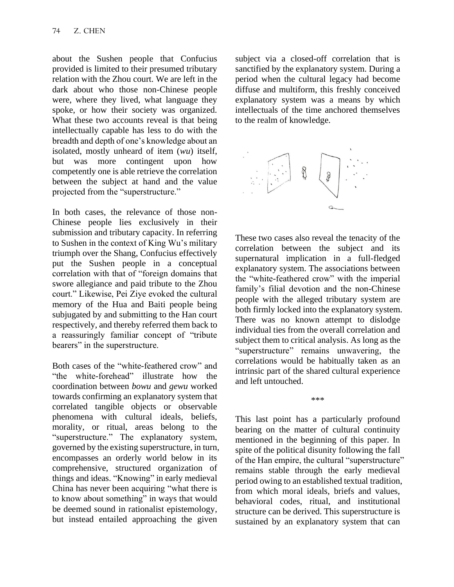about the Sushen people that Confucius provided is limited to their presumed tributary relation with the Zhou court. We are left in the dark about who those non-Chinese people were, where they lived, what language they spoke, or how their society was organized. What these two accounts reveal is that being intellectually capable has less to do with the breadth and depth of one's knowledge about an isolated, mostly unheard of item (*wu*) itself, but was more contingent upon how competently one is able retrieve the correlation between the subject at hand and the value projected from the "superstructure."

In both cases, the relevance of those non-Chinese people lies exclusively in their submission and tributary capacity. In referring to Sushen in the context of King Wu's military triumph over the Shang, Confucius effectively put the Sushen people in a conceptual correlation with that of "foreign domains that swore allegiance and paid tribute to the Zhou court." Likewise, Pei Ziye evoked the cultural memory of the Hua and Baiti people being subjugated by and submitting to the Han court respectively, and thereby referred them back to a reassuringly familiar concept of "tribute bearers" in the superstructure.

Both cases of the "white-feathered crow" and "the white-forehead" illustrate how the coordination between *bowu* and *gewu* worked towards confirming an explanatory system that correlated tangible objects or observable phenomena with cultural ideals, beliefs, morality, or ritual, areas belong to the "superstructure." The explanatory system, governed by the existing superstructure, in turn, encompasses an orderly world below in its comprehensive, structured organization of things and ideas. "Knowing" in early medieval China has never been acquiring "what there is to know about something" in ways that would be deemed sound in rationalist epistemology, but instead entailed approaching the given

subject via a closed-off correlation that is sanctified by the explanatory system. During a period when the cultural legacy had become diffuse and multiform, this freshly conceived explanatory system was a means by which intellectuals of the time anchored themselves to the realm of knowledge.



These two cases also reveal the tenacity of the correlation between the subject and its supernatural implication in a full-fledged explanatory system. The associations between the "white-feathered crow" with the imperial family's filial devotion and the non-Chinese people with the alleged tributary system are both firmly locked into the explanatory system. There was no known attempt to dislodge individual ties from the overall correlation and subject them to critical analysis. As long as the "superstructure" remains unwavering, the correlations would be habitually taken as an intrinsic part of the shared cultural experience and left untouched.

\*\*\*

This last point has a particularly profound bearing on the matter of cultural continuity mentioned in the beginning of this paper. In spite of the political disunity following the fall of the Han empire, the cultural "superstructure" remains stable through the early medieval period owing to an established textual tradition, from which moral ideals, briefs and values, behavioral codes, ritual, and institutional structure can be derived. This superstructure is sustained by an explanatory system that can